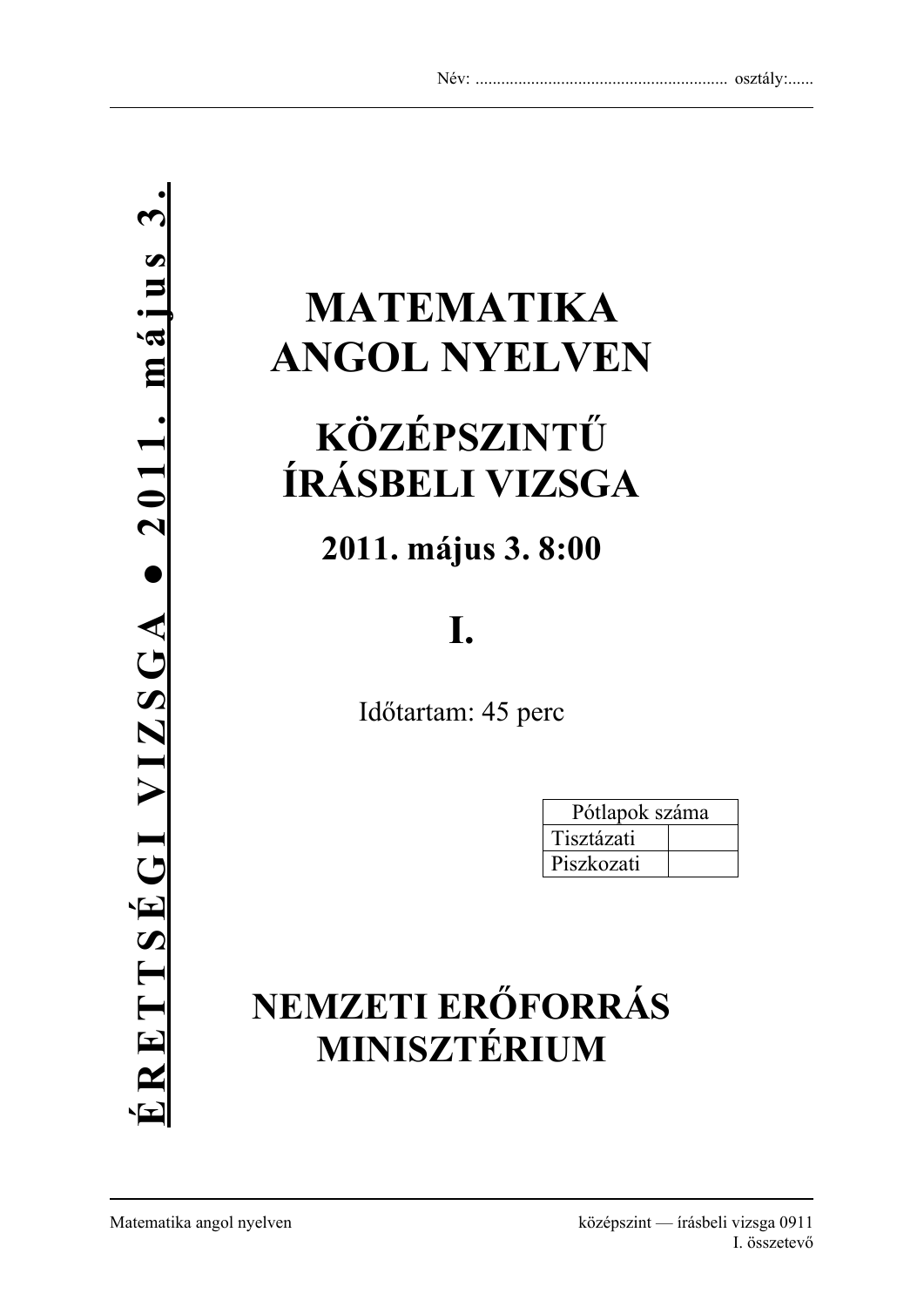# **MATEMATIKA ANGOL NYELVEN**

# **KÖZÉPSZINTŰ ÍRÁSBELI VIZSGA**

### **2011. május 3. 8:00**

**I.**

Időtartam: 45 perc

| Pótlapok száma |  |
|----------------|--|
| Tisztázati     |  |
| Piszkozati     |  |

## **NEMZETI ERŐFORRÁS MINISZTÉRIUM**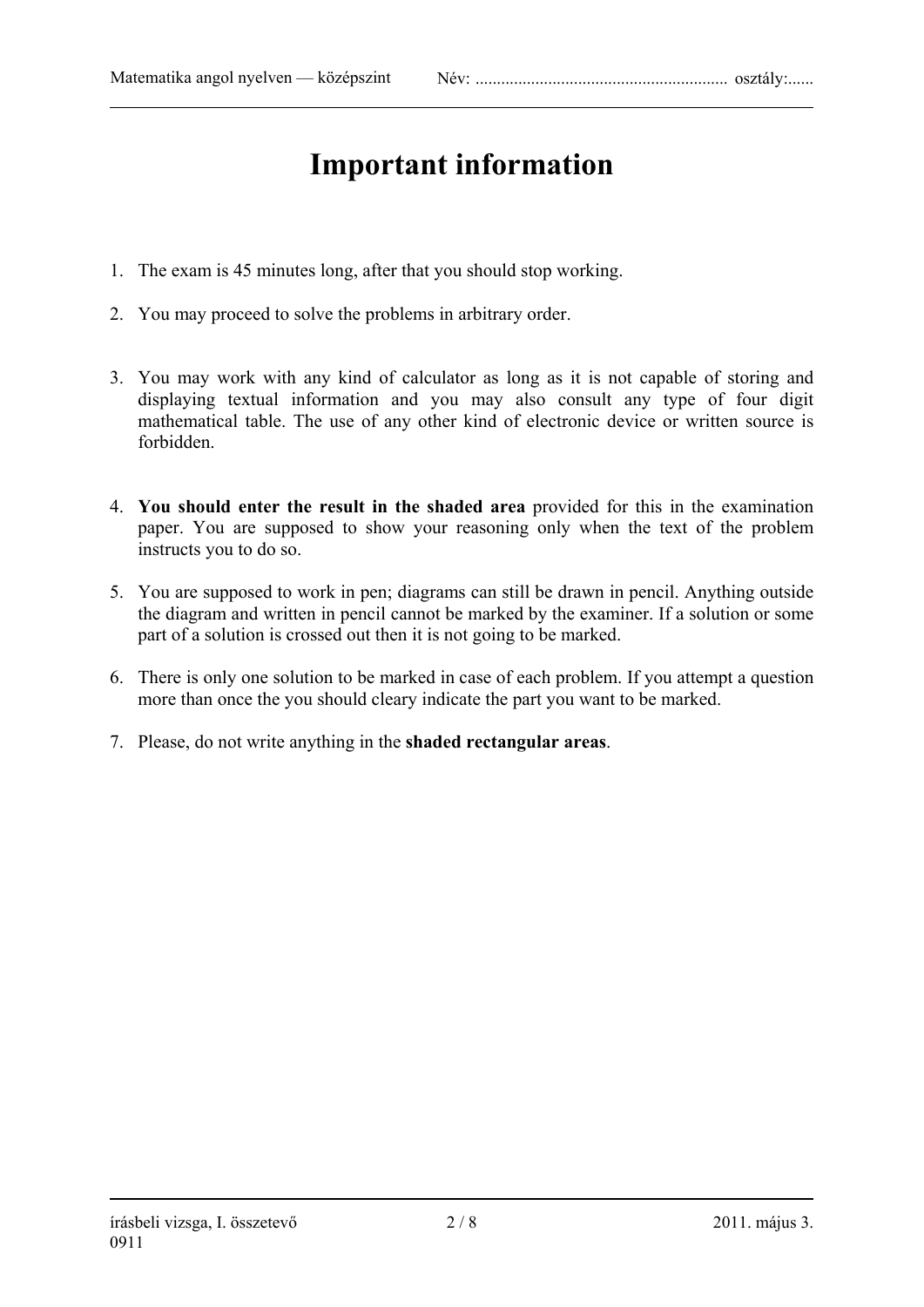### **Important information**

- 1. The exam is 45 minutes long, after that you should stop working.
- 2. You may proceed to solve the problems in arbitrary order.
- 3. You may work with any kind of calculator as long as it is not capable of storing and displaying textual information and you may also consult any type of four digit mathematical table. The use of any other kind of electronic device or written source is forbidden.
- 4. **You should enter the result in the shaded area** provided for this in the examination paper. You are supposed to show your reasoning only when the text of the problem instructs you to do so.
- 5. You are supposed to work in pen; diagrams can still be drawn in pencil. Anything outside the diagram and written in pencil cannot be marked by the examiner. If a solution or some part of a solution is crossed out then it is not going to be marked.
- 6. There is only one solution to be marked in case of each problem. If you attempt a question more than once the you should cleary indicate the part you want to be marked.
- 7. Please, do not write anything in the **shaded rectangular areas**.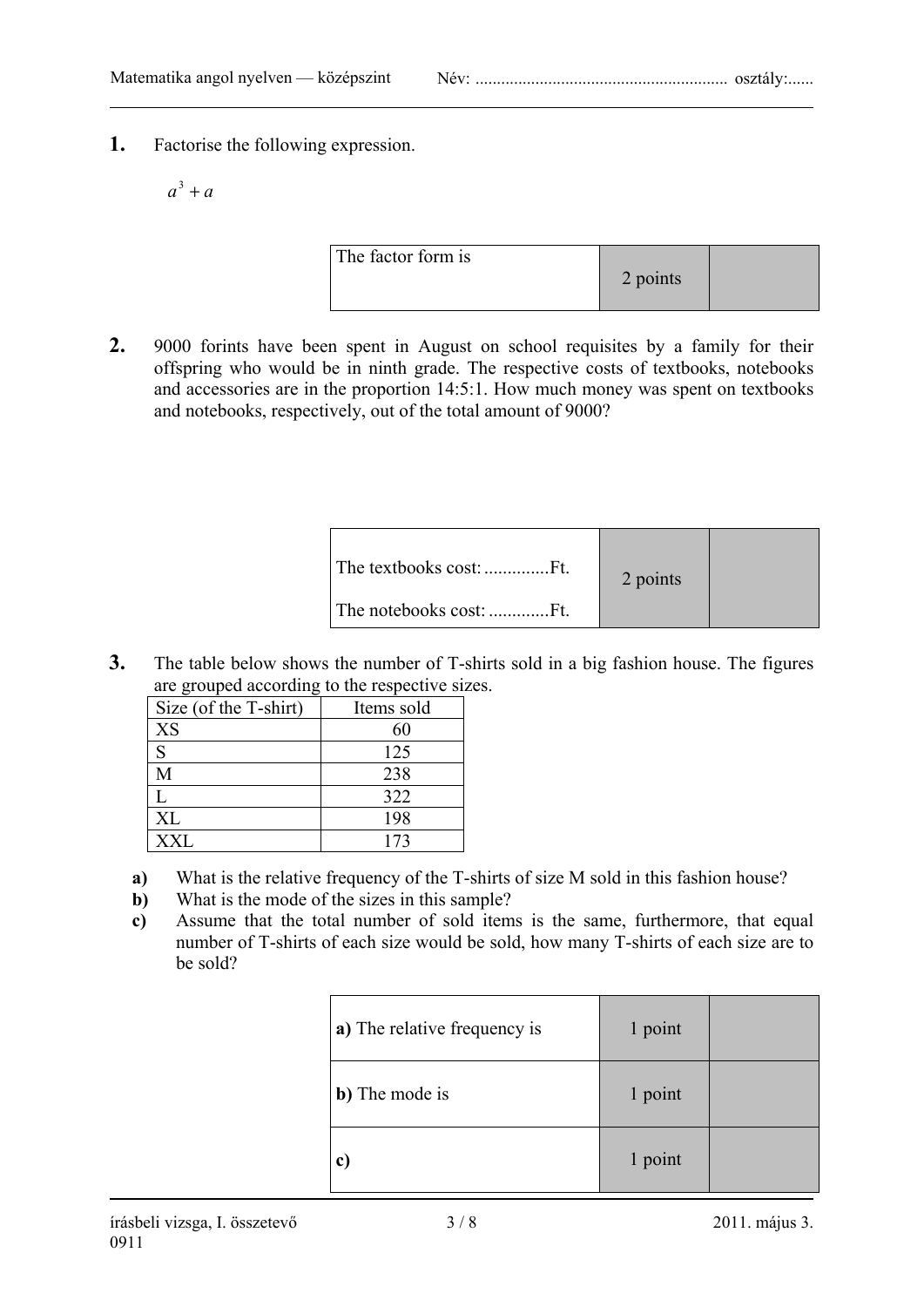**1.** Factorise the following expression.

 $a^3 + a$ 

| The factor form is | 2 points |  |
|--------------------|----------|--|
|                    |          |  |

**2.** 9000 forints have been spent in August on school requisites by a family for their offspring who would be in ninth grade. The respective costs of textbooks, notebooks and accessories are in the proportion 14:5:1. How much money was spent on textbooks and notebooks, respectively, out of the total amount of 9000?

| 2 points |  |
|----------|--|
|          |  |

**3.** The table below shows the number of T-shirts sold in a big fashion house. The figures are grouped according to the respective sizes.

| Size (of the T-shirt) | Items sold |
|-----------------------|------------|
| XS                    | 60         |
| S                     | 125        |
| M                     | 238        |
|                       | 322        |
| XL                    | 198        |
| <b>XXI</b>            | 173        |

- **a)** What is the relative frequency of the T-shirts of size M sold in this fashion house?
- **b**) What is the mode of the sizes in this sample?
- **c)** Assume that the total number of sold items is the same, furthermore, that equal number of T-shirts of each size would be sold, how many T-shirts of each size are to be sold?

| a) The relative frequency is | 1 point |  |
|------------------------------|---------|--|
| <b>b</b> ) The mode is       | 1 point |  |
| $\mathbf{c}$                 | 1 point |  |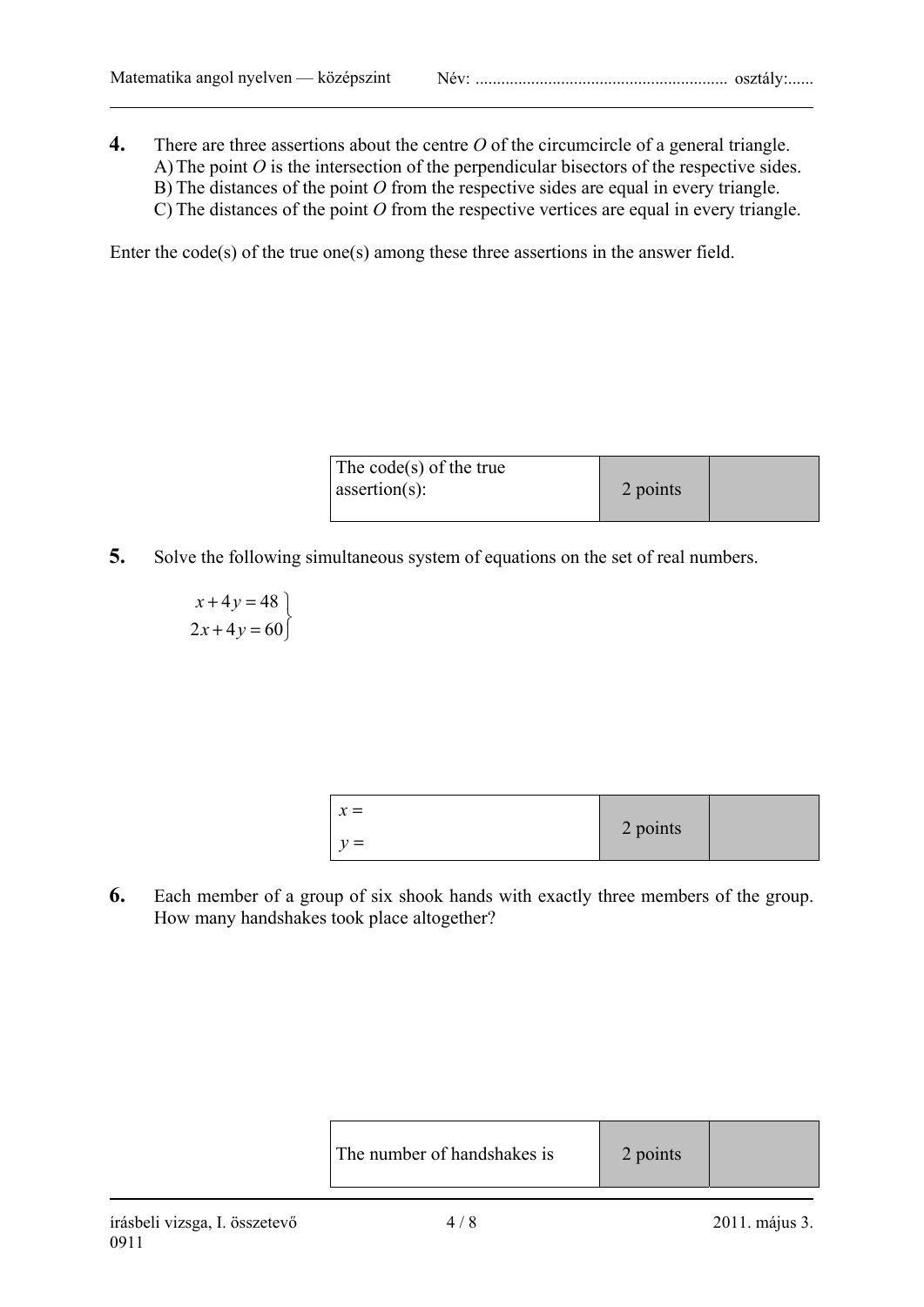**4.** There are three assertions about the centre *O* of the circumcircle of a general triangle. A) The point *O* is the intersection of the perpendicular bisectors of the respective sides. B) The distances of the point *O* from the respective sides are equal in every triangle. C) The distances of the point *O* from the respective vertices are equal in every triangle.

Enter the code(s) of the true one(s) among these three assertions in the answer field.

| The code(s) of the true<br>$\text{assertion}(s)$ : | 2 points |  |
|----------------------------------------------------|----------|--|
|                                                    |          |  |

**5.** Solve the following simultaneous system of equations on the set of real numbers.

$$
x+4y=48
$$
  

$$
2x+4y=60
$$

| $x =$ |          |  |
|-------|----------|--|
| $v =$ | 2 points |  |

**6.** Each member of a group of six shook hands with exactly three members of the group. How many handshakes took place altogether?

| The number of handshakes is | 2 points |  |
|-----------------------------|----------|--|
|                             |          |  |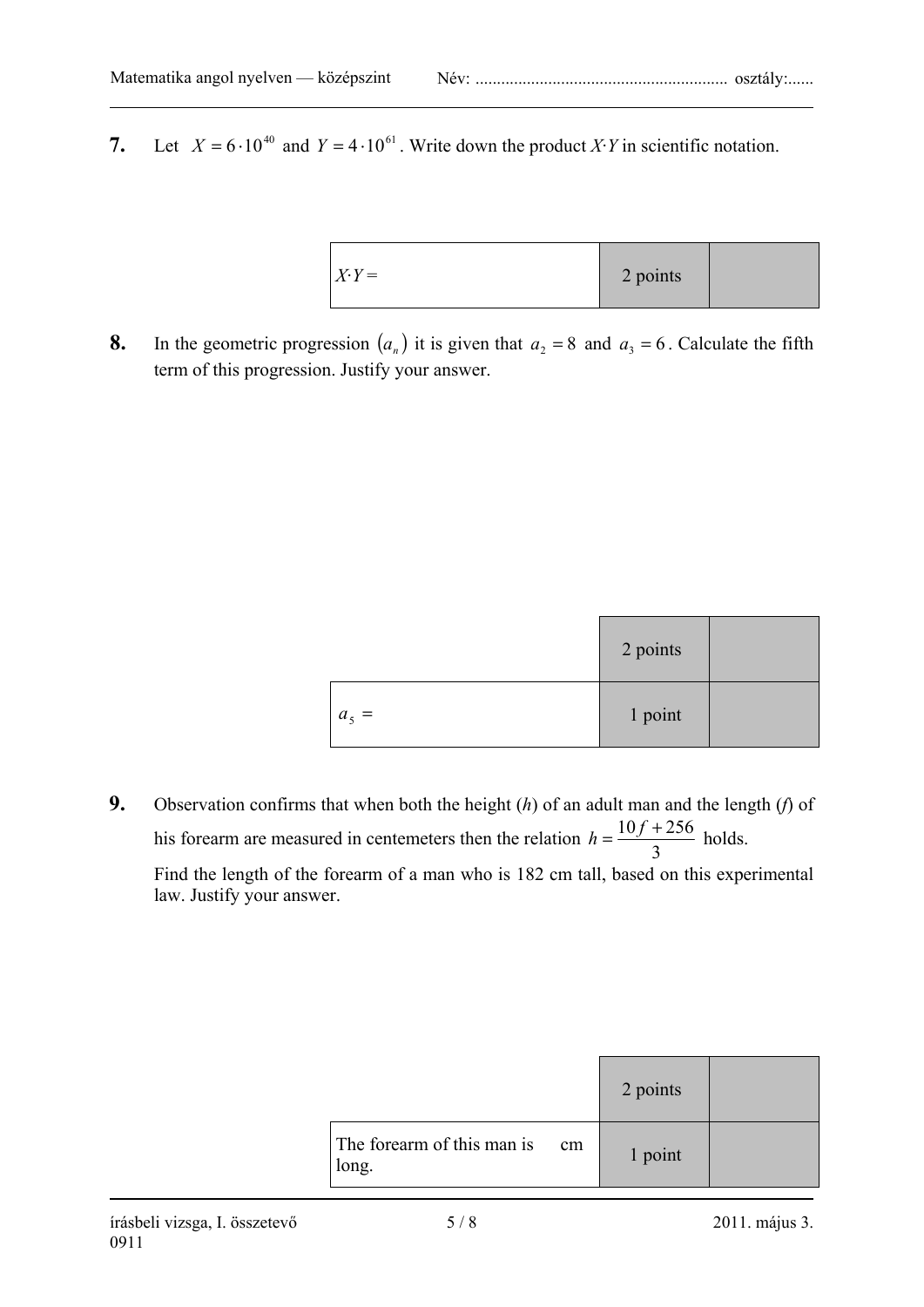**7.** Let  $X = 6 \cdot 10^{40}$  and  $Y = 4 \cdot 10^{61}$ . Write down the product *X*·*Y* in scientific notation.

| $Y \cdot Y =$ | 2 points |  |
|---------------|----------|--|
|---------------|----------|--|

**8.** In the geometric progression  $(a_n)$  it is given that  $a_2 = 8$  and  $a_3 = 6$ . Calculate the fifth term of this progression. Justify your answer.

|         | 2 points |  |
|---------|----------|--|
| $a_5 =$ | 1 point  |  |

**9.** Observation confirms that when both the height (*h*) of an adult man and the length (*f*) of his forearm are measured in centemeters then the relation 3  $h = \frac{10f + 256}{g}$  holds. Find the length of the forearm of a man who is 182 cm tall, based on this experimental law. Justify your answer.

|                                           | 2 points |  |
|-------------------------------------------|----------|--|
| The forearm of this man is<br>cm<br>long. | 1 point  |  |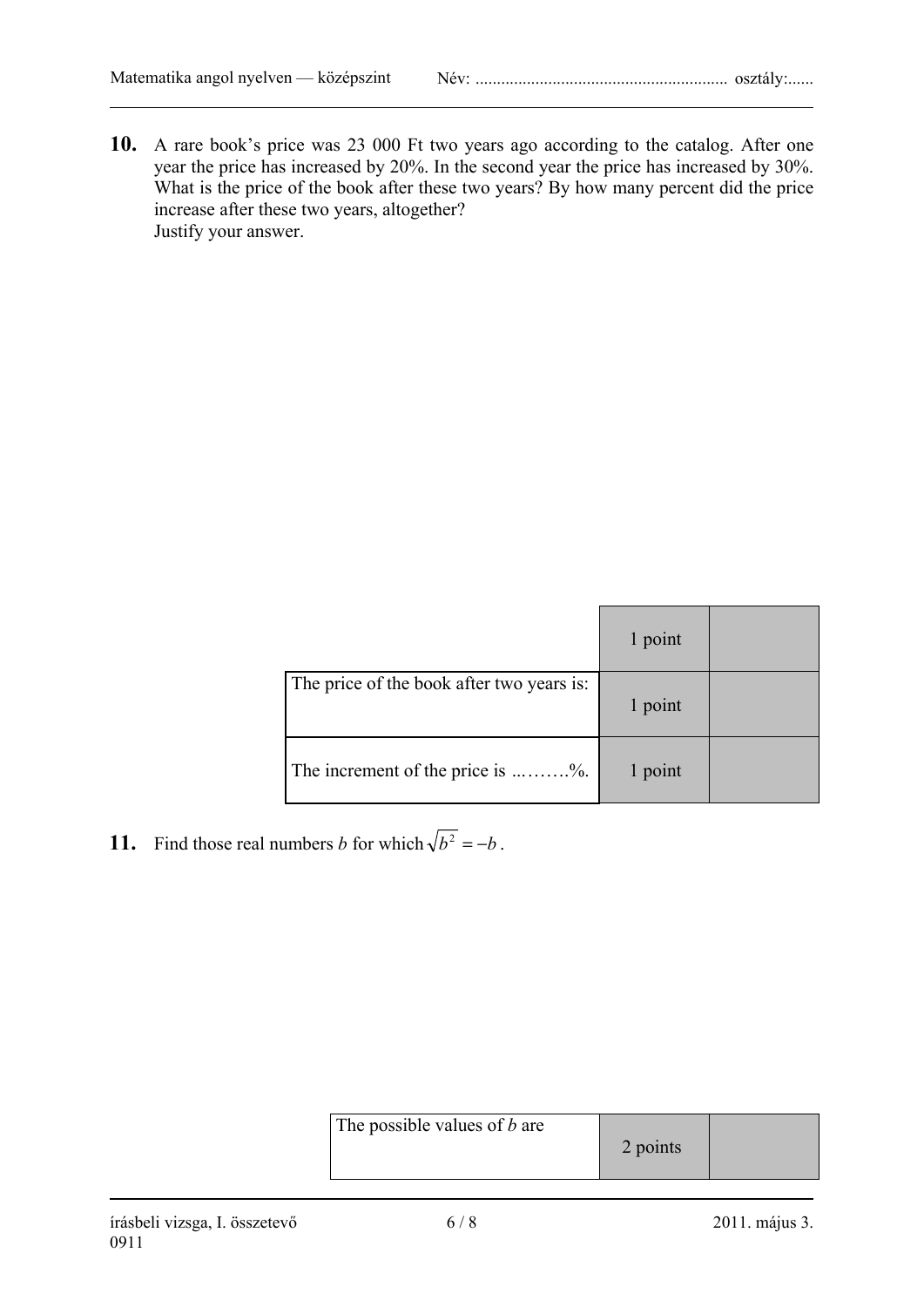**10.** A rare book's price was 23 000 Ft two years ago according to the catalog. After one year the price has increased by 20%. In the second year the price has increased by 30%. What is the price of the book after these two years? By how many percent did the price increase after these two years, altogether? Justify your answer.

|                                           | 1 point |  |
|-------------------------------------------|---------|--|
| The price of the book after two years is: | 1 point |  |
| The increment of the price is %.          | 1 point |  |

**11.** Find those real numbers *b* for which  $\sqrt{b^2} = -b$ .

| The possible values of $b$ are | 2 points |  |
|--------------------------------|----------|--|
|--------------------------------|----------|--|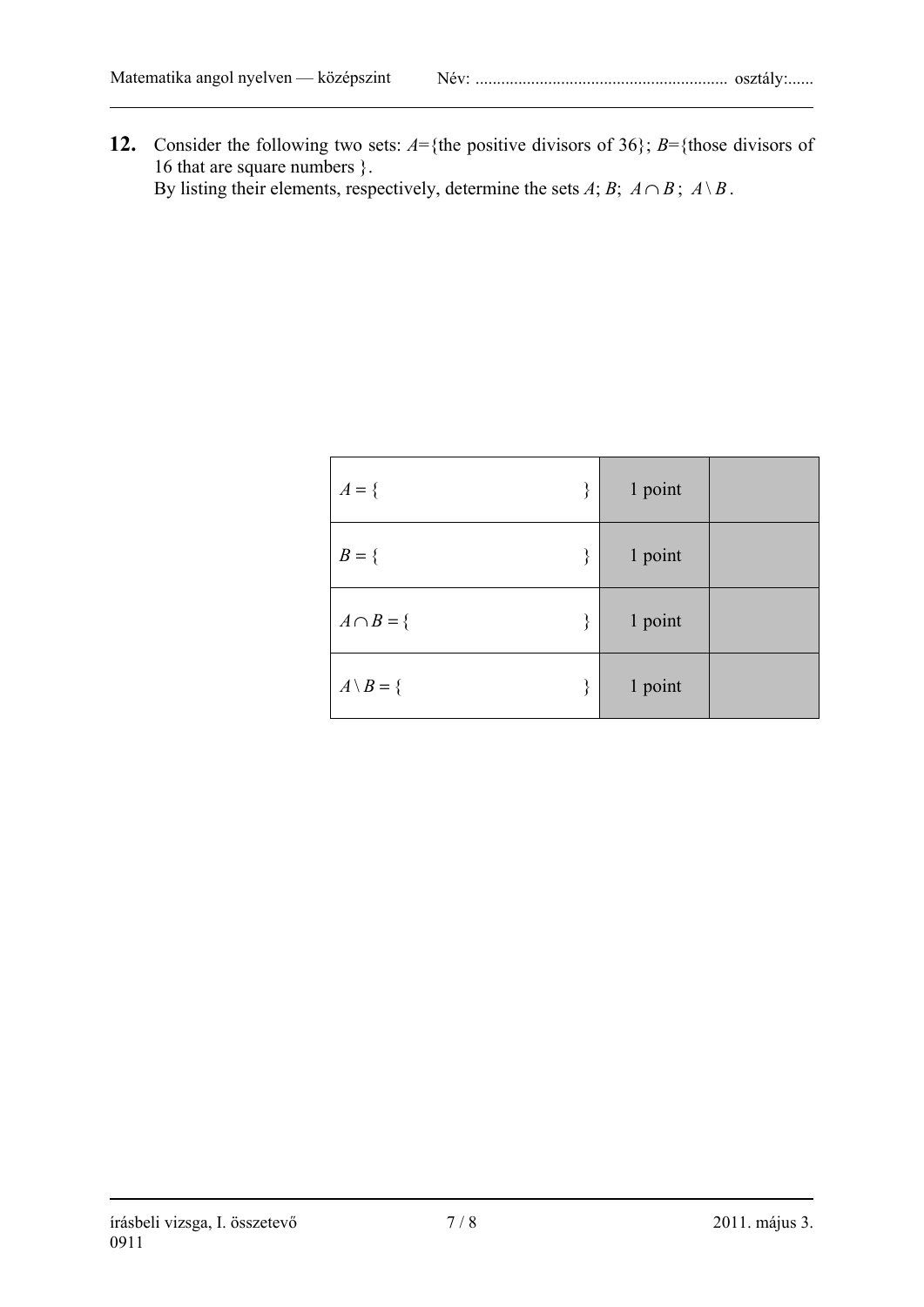**12.** Consider the following two sets:  $A = \{$ the positive divisors of 36 $\}$ ;  $B = \{$ those divisors of 16 that are square numbers }. By listing their elements, respectively, determine the sets *A*; *B*;  $A \cap B$ ;  $A \setminus B$ .

> $A = \{$  1 point  $B = \{$  1 point  $A \cap B = \{$  1 point  $A \setminus B = \{$  1 point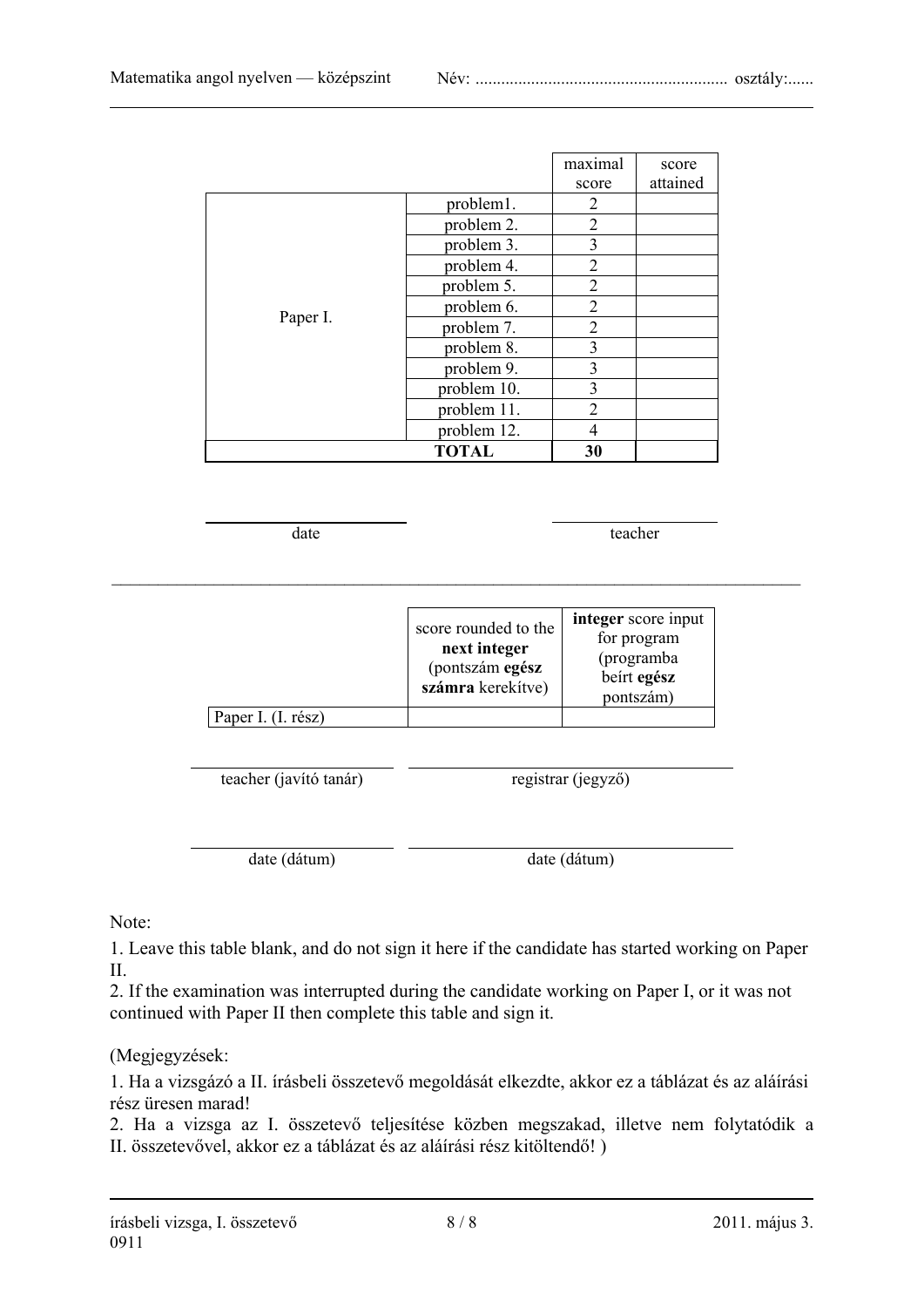|          |              | maximal        | score    |
|----------|--------------|----------------|----------|
|          |              | score          | attained |
|          | problem1.    | 2              |          |
|          | problem 2.   | 2              |          |
|          | problem 3.   | 3              |          |
|          | problem 4.   | $\overline{2}$ |          |
|          | problem 5.   | 2              |          |
|          | problem 6.   | $\overline{2}$ |          |
| Paper I. | problem 7.   | 2              |          |
|          | problem 8.   | 3              |          |
|          | problem 9.   | 3              |          |
|          | problem 10.  | 3              |          |
|          | problem 11.  | $\overline{2}$ |          |
|          | problem 12.  | $\overline{4}$ |          |
|          | <b>TOTAL</b> | 30             |          |

date teacher teacher

|                    | score rounded to the<br>next integer<br>(pontszám egész<br>számra kerekítve) | integer score input<br>for program<br>(programba<br>beírt egész<br>pontszám) |
|--------------------|------------------------------------------------------------------------------|------------------------------------------------------------------------------|
| Paper I. (I. rész) |                                                                              |                                                                              |

\_\_\_\_\_\_\_\_\_\_\_\_\_\_\_\_\_\_\_\_\_\_\_\_\_\_\_\_\_\_\_\_\_\_\_\_\_\_\_\_\_\_\_\_\_\_\_\_\_\_\_\_\_\_\_\_\_\_\_\_\_\_\_\_\_\_\_\_\_\_\_\_\_\_

teacher (javító tanár) registrar (jegyző)

date (dátum) date (dátum)

Note:

1. Leave this table blank, and do not sign it here if the candidate has started working on Paper II.

2. If the examination was interrupted during the candidate working on Paper I, or it was not continued with Paper II then complete this table and sign it.

#### (Megjegyzések:

1. Ha a vizsgázó a II. írásbeli összetevő megoldását elkezdte, akkor ez a táblázat és az aláírási rész üresen marad!

2. Ha a vizsga az I. összetevő teljesítése közben megszakad, illetve nem folytatódik a II. összetevővel, akkor ez a táblázat és az aláírási rész kitöltendő! )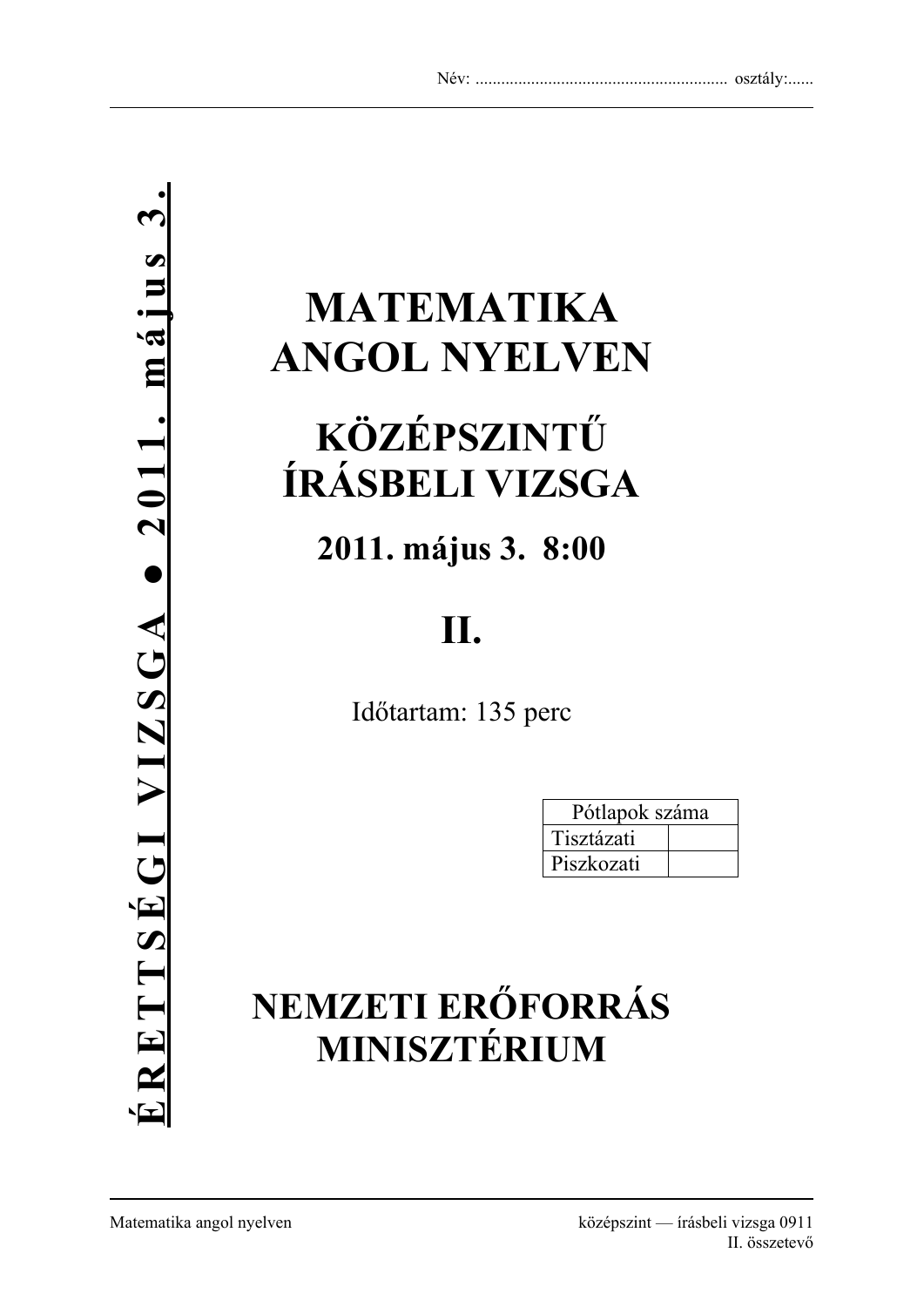# **MATEMATIKA ANGOL NYELVEN**

# **KÖZÉPSZINTŰ ÍRÁSBELI VIZSGA**

**2011. május 3. 8:00** 

## **II.**

Időtartam: 135 perc

| Pótlapok száma |  |
|----------------|--|
| Tisztázati     |  |
| Piszkozati     |  |

## **NEMZETI ERŐFORRÁS MINISZTÉRIUM**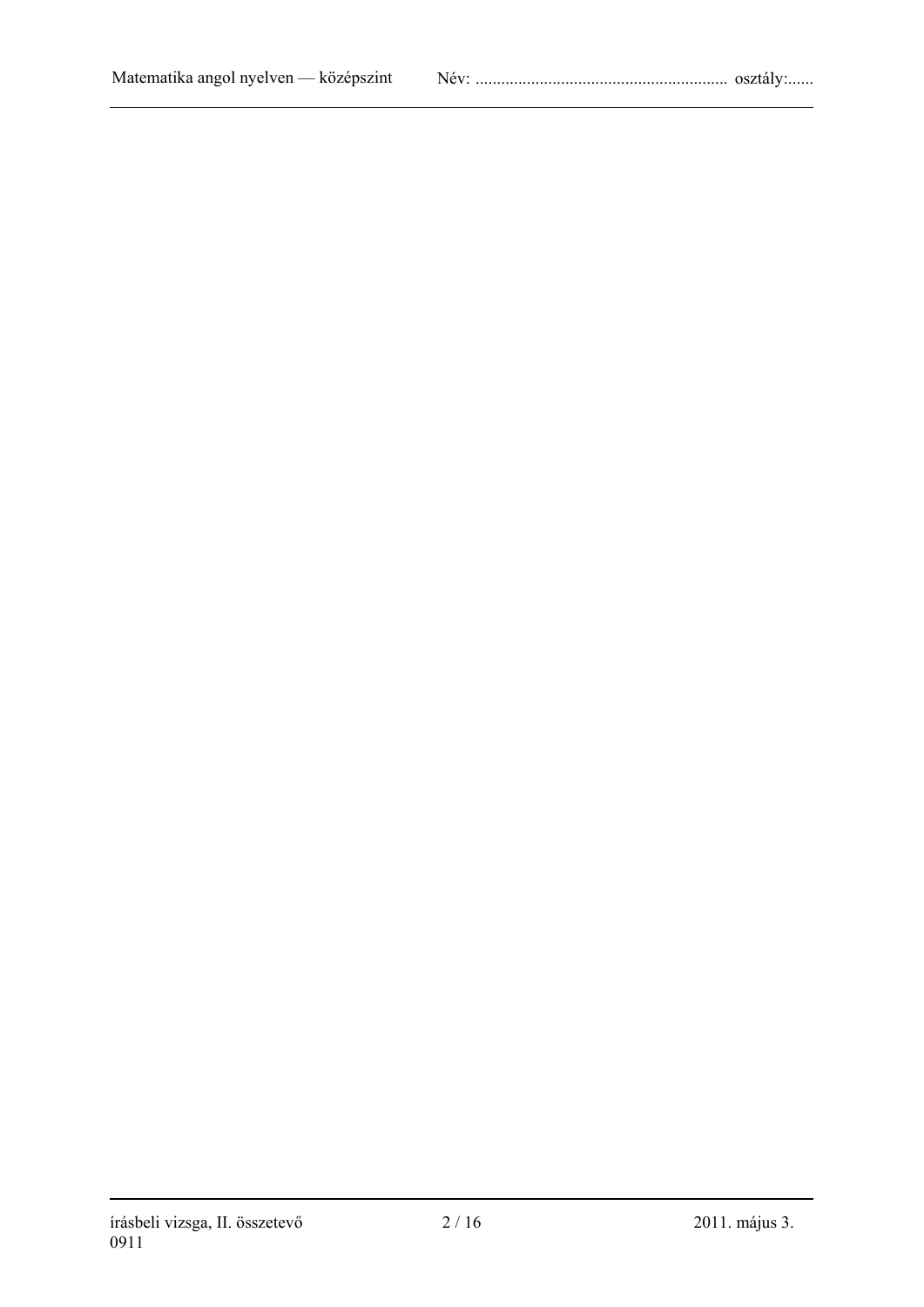|--|--|--|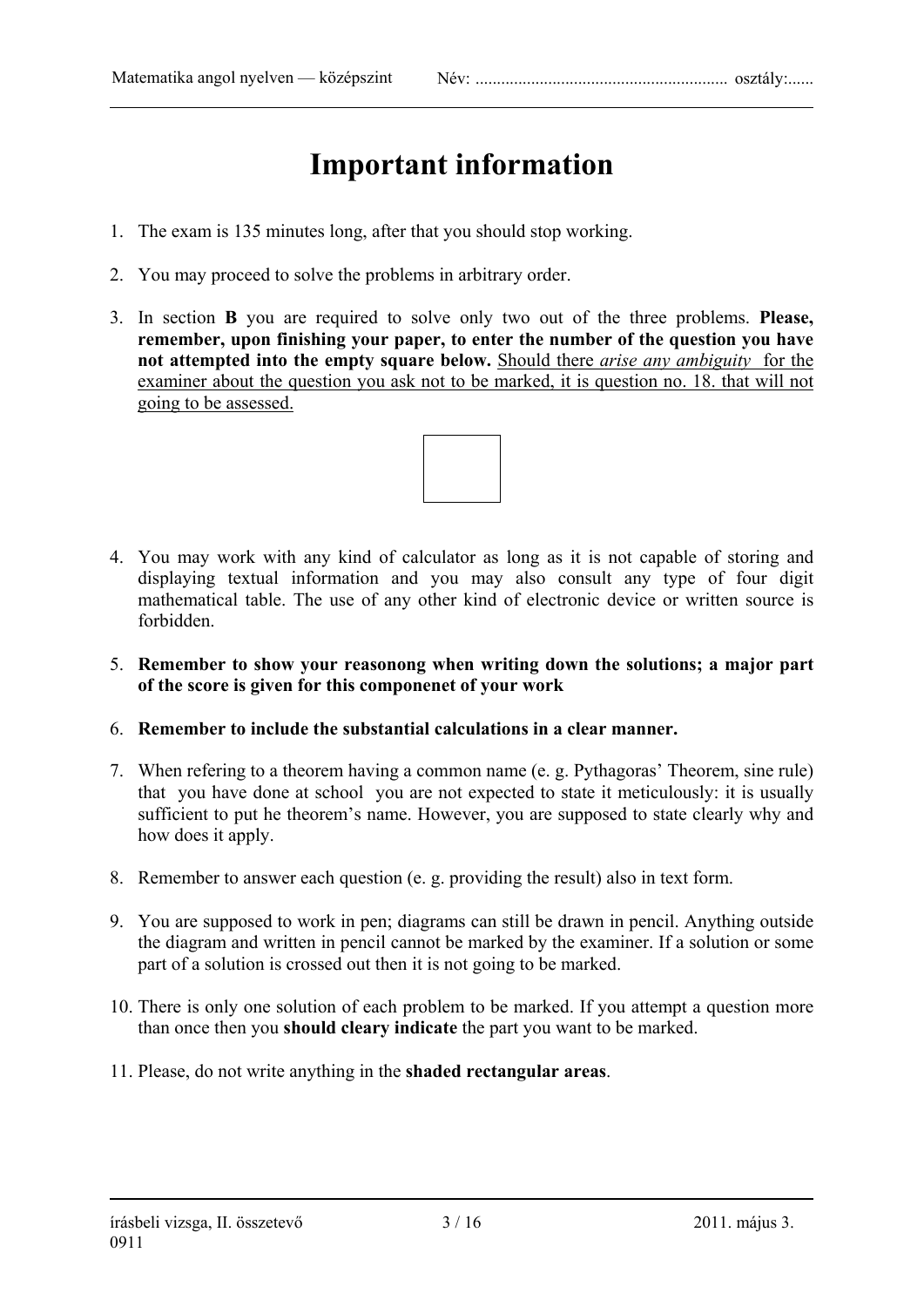### **Important information**

- 1. The exam is 135 minutes long, after that you should stop working.
- 2. You may proceed to solve the problems in arbitrary order.
- 3. In section **B** you are required to solve only two out of the three problems. **Please, remember, upon finishing your paper, to enter the number of the question you have not attempted into the empty square below.** Should there *arise any ambiguity* for the examiner about the question you ask not to be marked, it is question no. 18. that will not going to be assessed.



- 4. You may work with any kind of calculator as long as it is not capable of storing and displaying textual information and you may also consult any type of four digit mathematical table. The use of any other kind of electronic device or written source is forbidden.
- 5. **Remember to show your reasonong when writing down the solutions; a major part of the score is given for this componenet of your work**
- 6. **Remember to include the substantial calculations in a clear manner.**
- 7. When refering to a theorem having a common name (e. g. Pythagoras' Theorem, sine rule) that you have done at school you are not expected to state it meticulously: it is usually sufficient to put he theorem's name. However, you are supposed to state clearly why and how does it apply.
- 8. Remember to answer each question (e. g. providing the result) also in text form.
- 9. You are supposed to work in pen; diagrams can still be drawn in pencil. Anything outside the diagram and written in pencil cannot be marked by the examiner. If a solution or some part of a solution is crossed out then it is not going to be marked.
- 10. There is only one solution of each problem to be marked. If you attempt a question more than once then you **should cleary indicate** the part you want to be marked.
- 11. Please, do not write anything in the **shaded rectangular areas**.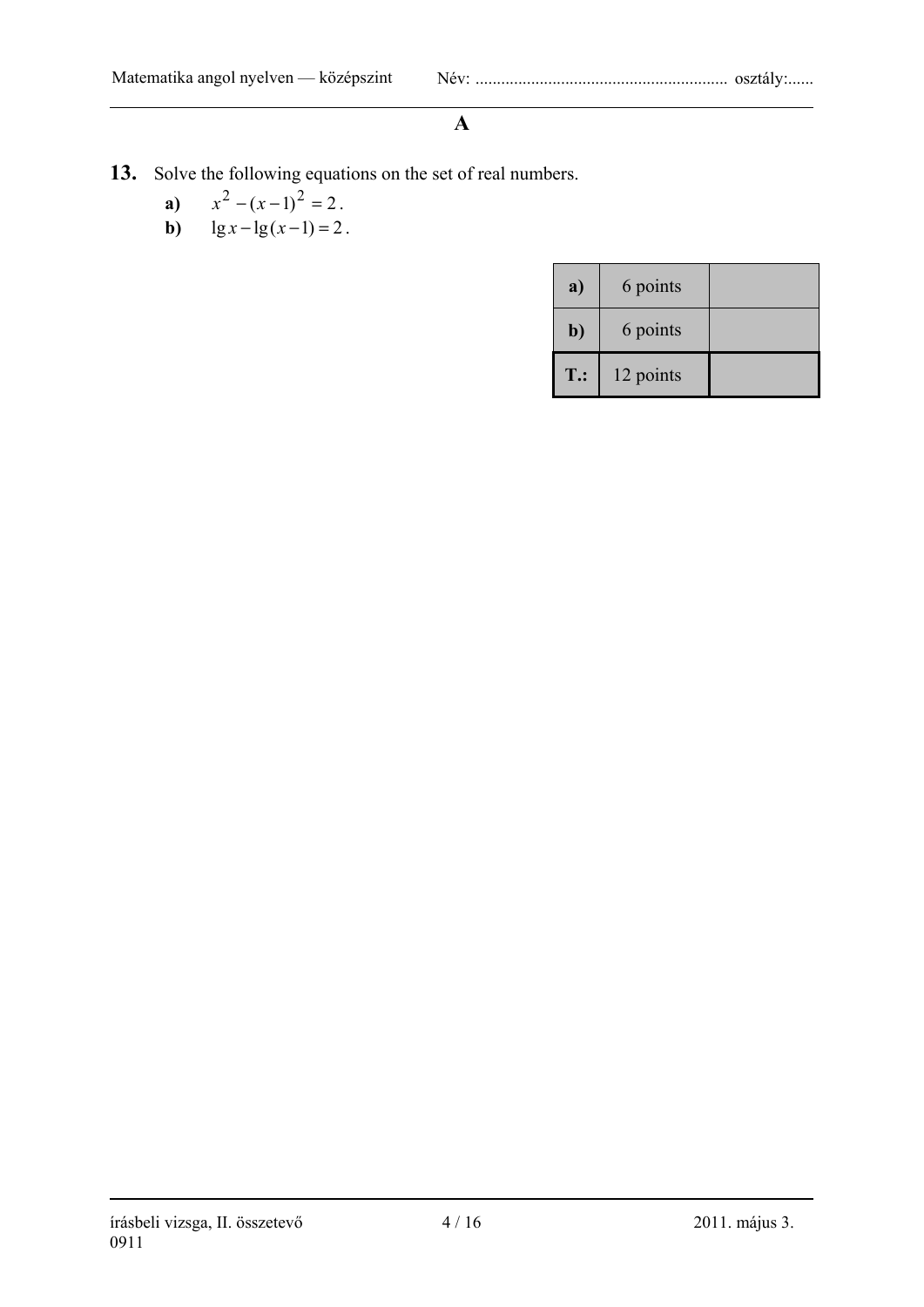### **A**

- **13.** Solve the following equations on the set of real numbers.
	- **a**)  $x^2 (x-1)^2 = 2$ .
	- **b**)  $\lg x \lg(x-1) = 2$ .

| a)           | 6 points  |  |
|--------------|-----------|--|
| $\mathbf{b}$ | 6 points  |  |
| $T$ .:       | 12 points |  |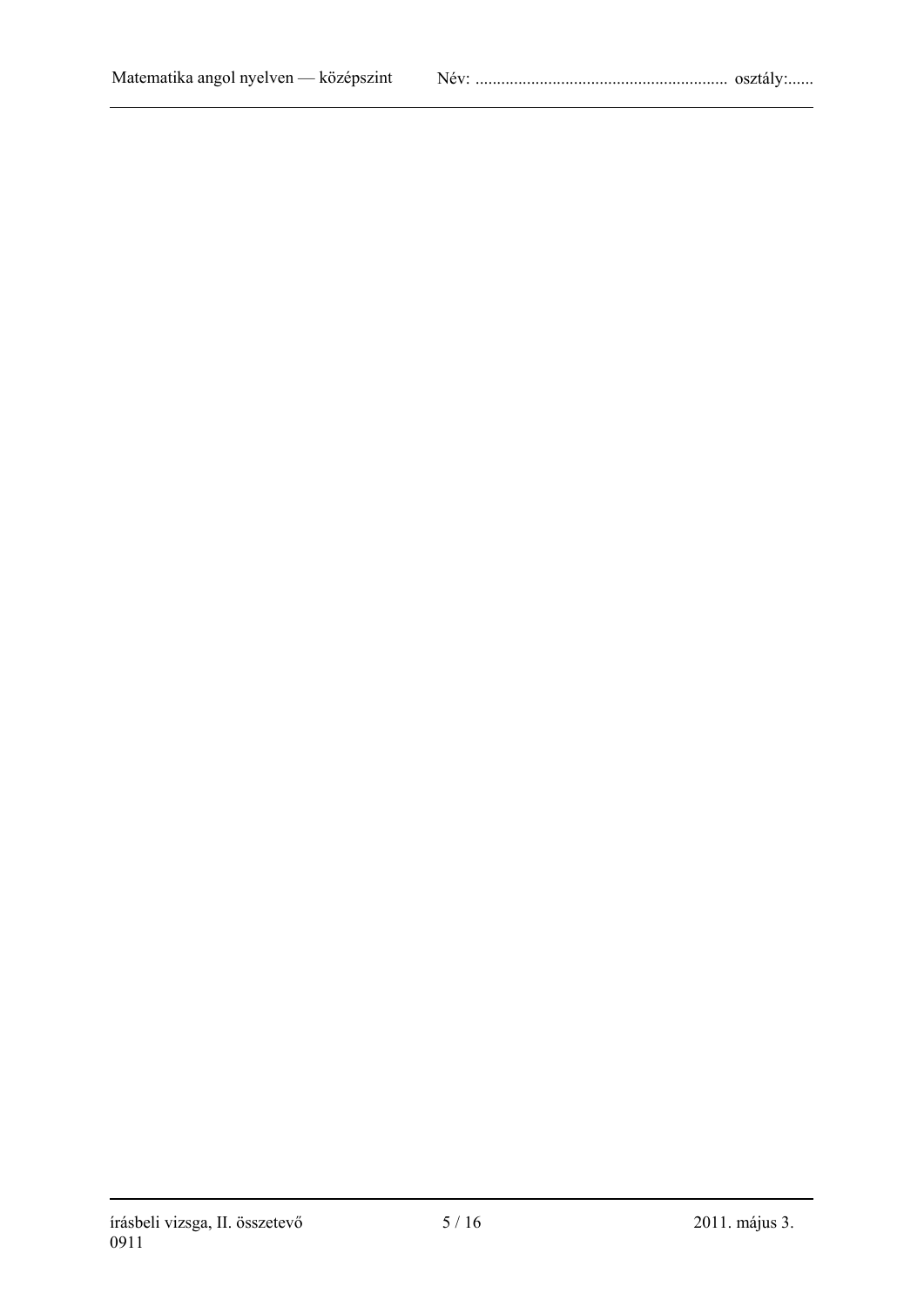|--|--|--|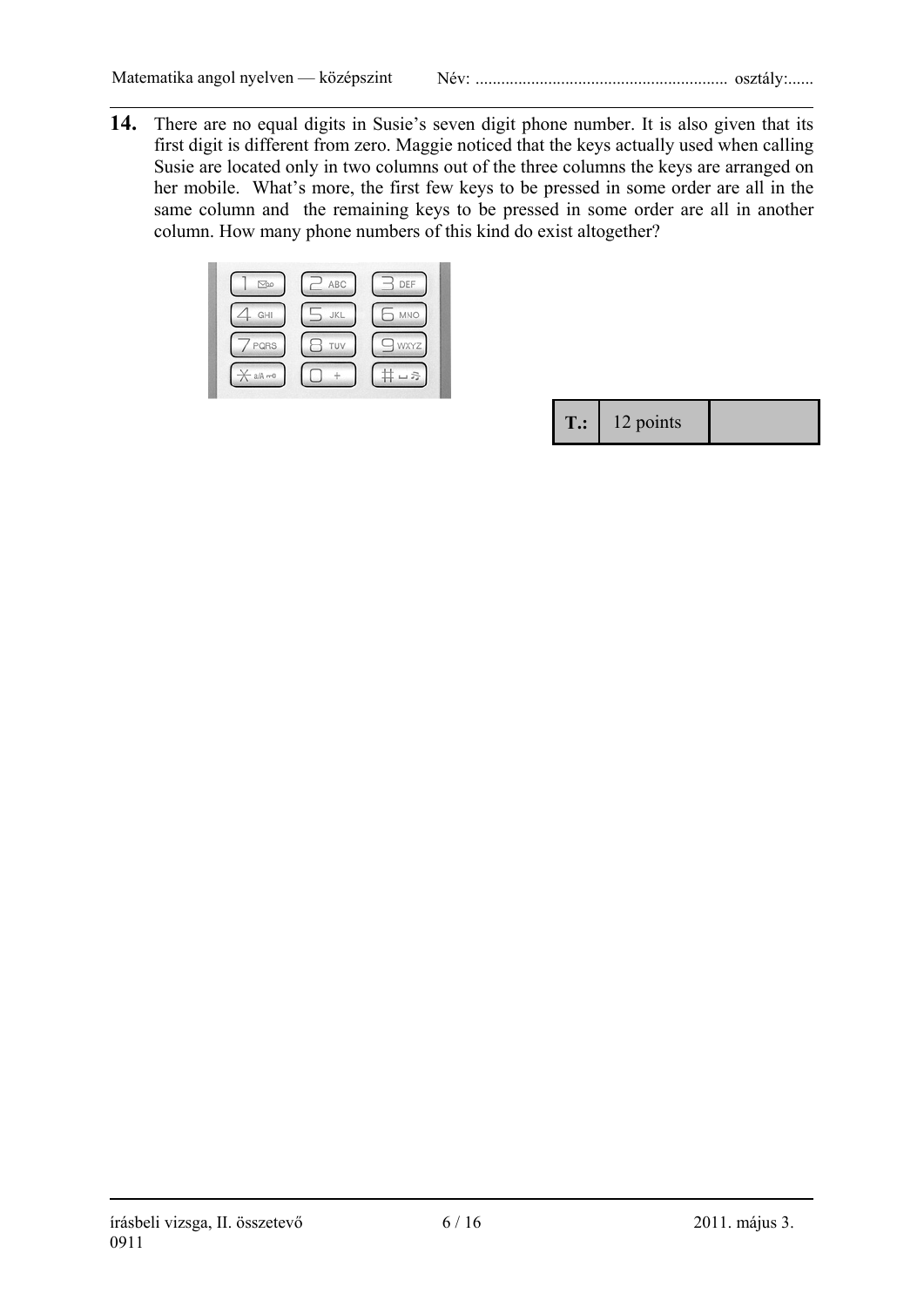**14.** There are no equal digits in Susie's seven digit phone number. It is also given that its first digit is different from zero. Maggie noticed that the keys actually used when calling Susie are located only in two columns out of the three columns the keys are arranged on her mobile. What's more, the first few keys to be pressed in some order are all in the same column and the remaining keys to be pressed in some order are all in another column. How many phone numbers of this kind do exist altogether?



|  | 12 points |  |
|--|-----------|--|
|--|-----------|--|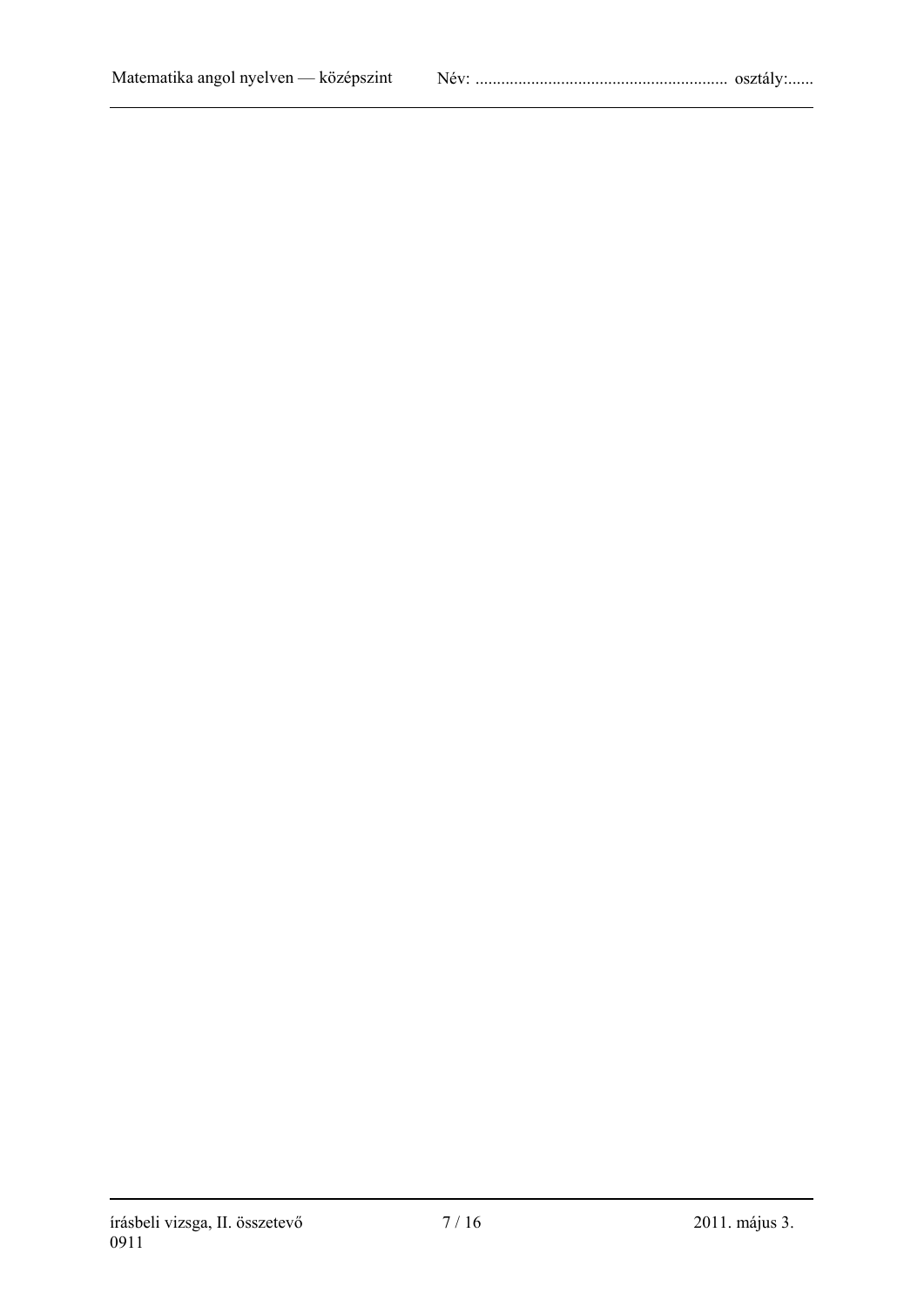|--|--|--|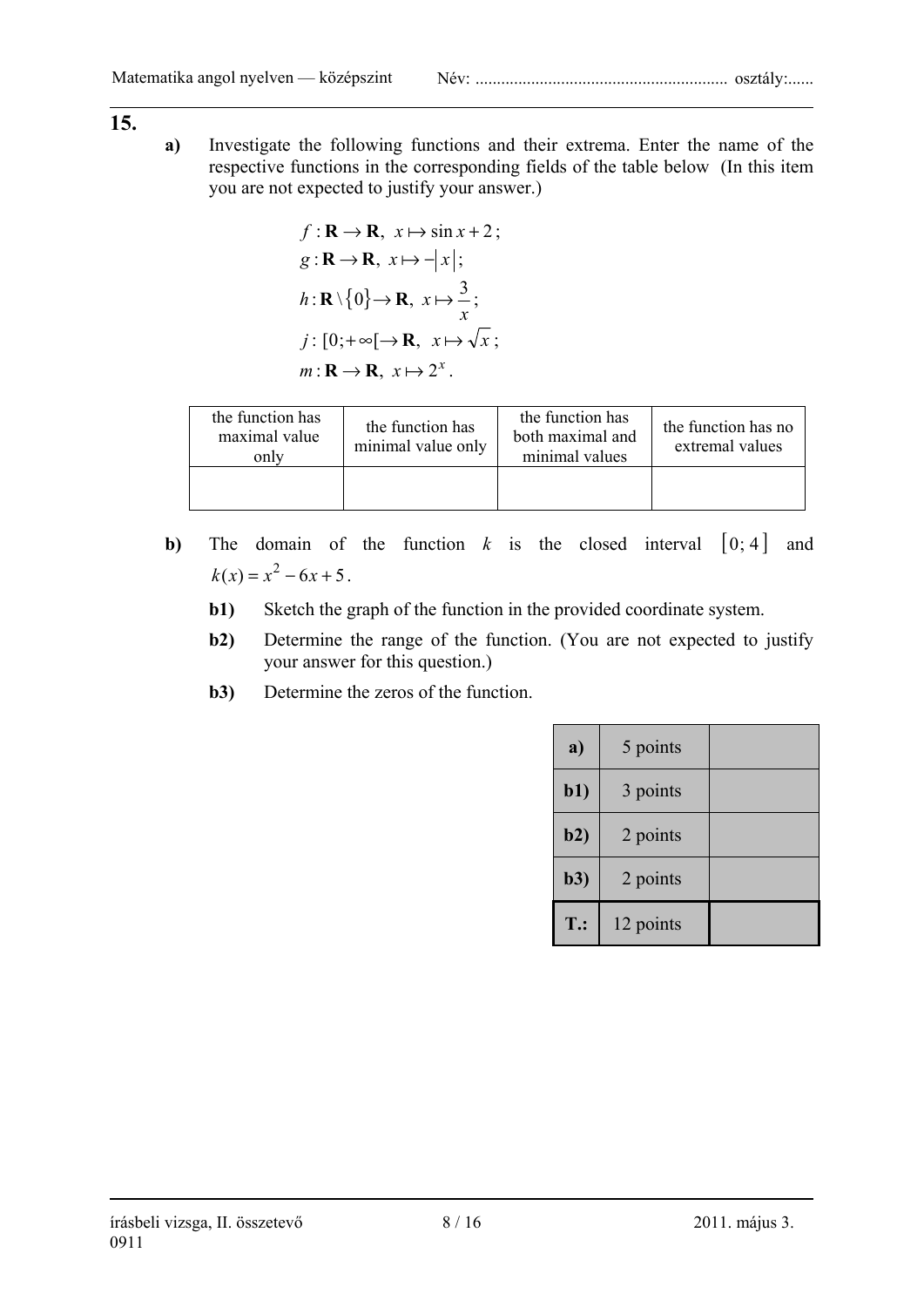| I<br>v<br>× |
|-------------|
|             |

**a)** Investigate the following functions and their extrema. Enter the name of the respective functions in the corresponding fields of the table below (In this item you are not expected to justify your answer.)

$$
f: \mathbf{R} \to \mathbf{R}, \ x \mapsto \sin x + 2;
$$
  
\n
$$
g: \mathbf{R} \to \mathbf{R}, \ x \mapsto -|x|;
$$
  
\n
$$
h: \mathbf{R} \setminus \{0\} \to \mathbf{R}, \ x \mapsto \frac{3}{x};
$$
  
\n
$$
j: [0; +\infty[ \to \mathbf{R}, \ x \mapsto \sqrt{x};
$$
  
\n
$$
m: \mathbf{R} \to \mathbf{R}, \ x \mapsto 2^{x}.
$$

| the function has<br>maximal value<br>onlv | the function has<br>minimal value only | the function has<br>both maximal and<br>minimal values | the function has no<br>extremal values |
|-------------------------------------------|----------------------------------------|--------------------------------------------------------|----------------------------------------|
|                                           |                                        |                                                        |                                        |

- **b)** The domain of the function  $k$  is the closed interval  $[0; 4]$  and  $k(x) = x^2 - 6x + 5$ .
	- **b1)** Sketch the graph of the function in the provided coordinate system.
	- **b2)** Determine the range of the function. (You are not expected to justify your answer for this question.)
	- **b3)** Determine the zeros of the function.

| a)     | 5 points  |  |
|--------|-----------|--|
| b1)    | 3 points  |  |
| b2)    | 2 points  |  |
| b3)    | 2 points  |  |
| $T$ .: | 12 points |  |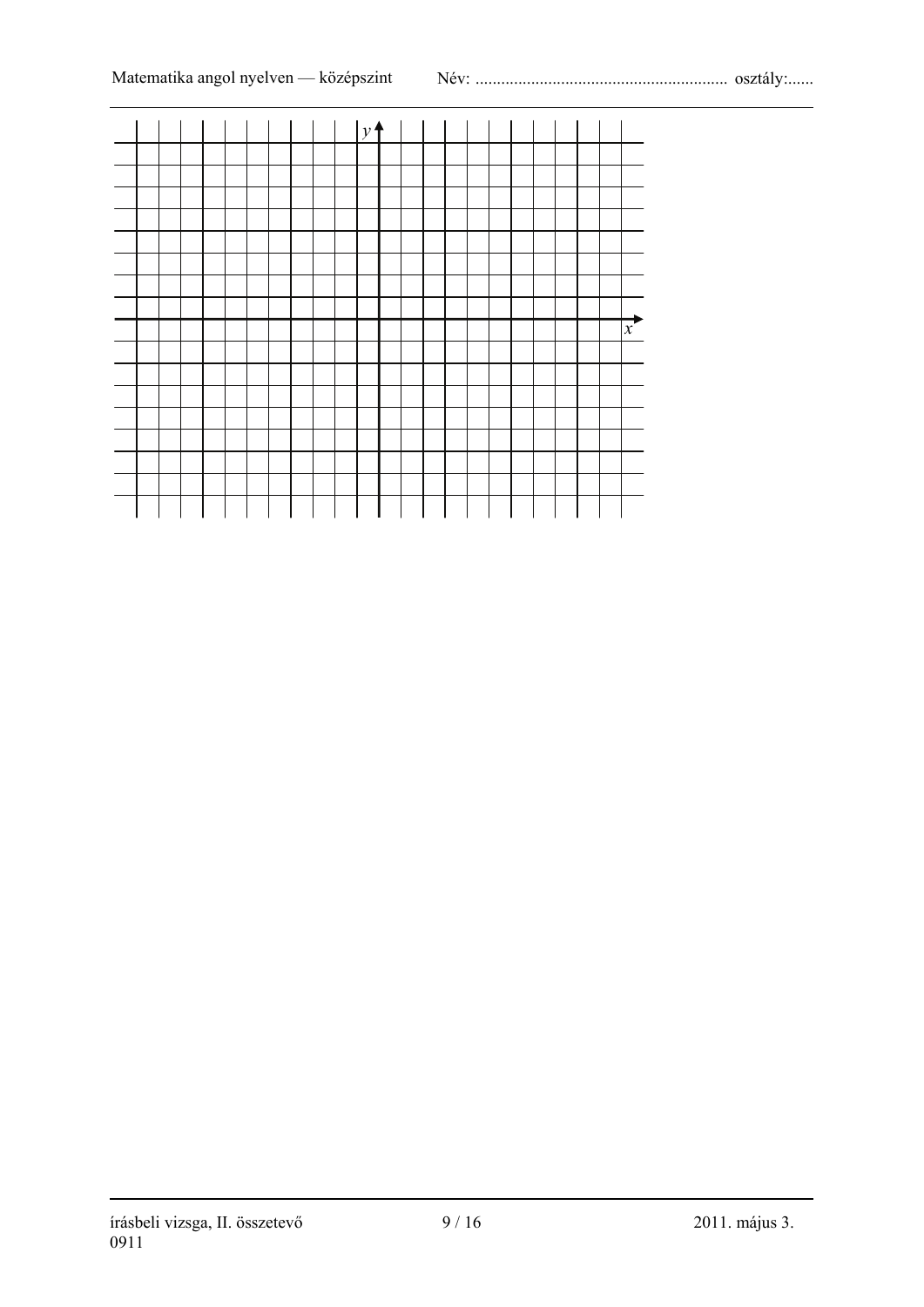Matematika angol nyelven — középszint Név: ........................................................... osztály:......

|  |  |  |  |  | $\mathcal{Y}$ |  |  |  |  |  |               |
|--|--|--|--|--|---------------|--|--|--|--|--|---------------|
|  |  |  |  |  |               |  |  |  |  |  |               |
|  |  |  |  |  |               |  |  |  |  |  |               |
|  |  |  |  |  |               |  |  |  |  |  |               |
|  |  |  |  |  |               |  |  |  |  |  |               |
|  |  |  |  |  |               |  |  |  |  |  |               |
|  |  |  |  |  |               |  |  |  |  |  |               |
|  |  |  |  |  |               |  |  |  |  |  |               |
|  |  |  |  |  |               |  |  |  |  |  |               |
|  |  |  |  |  |               |  |  |  |  |  | $\mathcal{X}$ |
|  |  |  |  |  |               |  |  |  |  |  |               |
|  |  |  |  |  |               |  |  |  |  |  |               |
|  |  |  |  |  |               |  |  |  |  |  |               |
|  |  |  |  |  |               |  |  |  |  |  |               |
|  |  |  |  |  |               |  |  |  |  |  |               |
|  |  |  |  |  |               |  |  |  |  |  |               |
|  |  |  |  |  |               |  |  |  |  |  |               |
|  |  |  |  |  |               |  |  |  |  |  |               |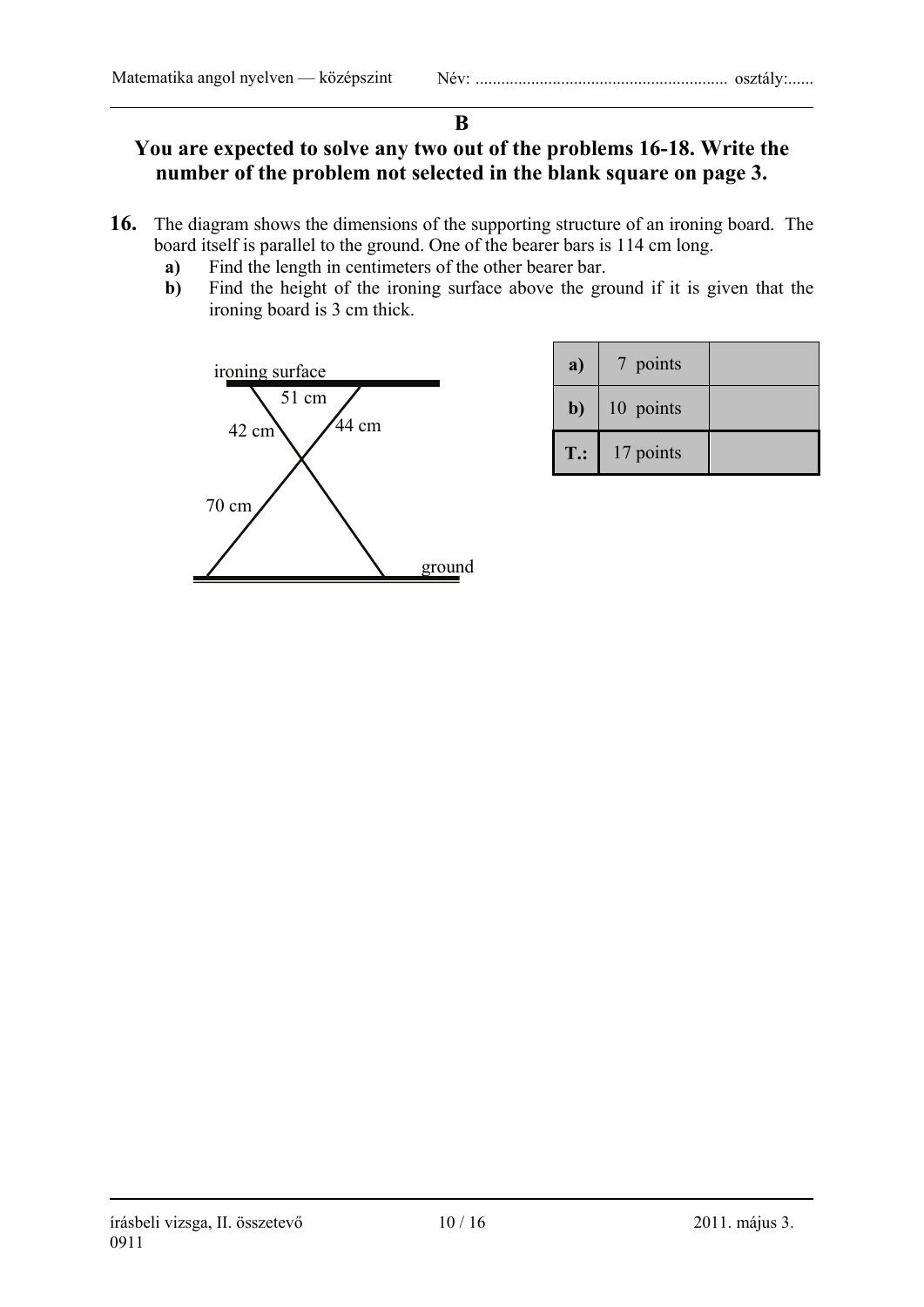### **B**

### **You are expected to solve any two out of the problems 16-18. Write the number of the problem not selected in the blank square on page 3.**

- **16.** The diagram shows the dimensions of the supporting structure of an ironing board. The board itself is parallel to the ground. One of the bearer bars is 114 cm long.
	- **a)** Find the length in centimeters of the other bearer bar.
	- **b)** Find the height of the ironing surface above the ground if it is given that the ironing board is 3 cm thick.



| a)     | 7 points  |  |
|--------|-----------|--|
| $b$    | 10 points |  |
| $T$ .: | 17 points |  |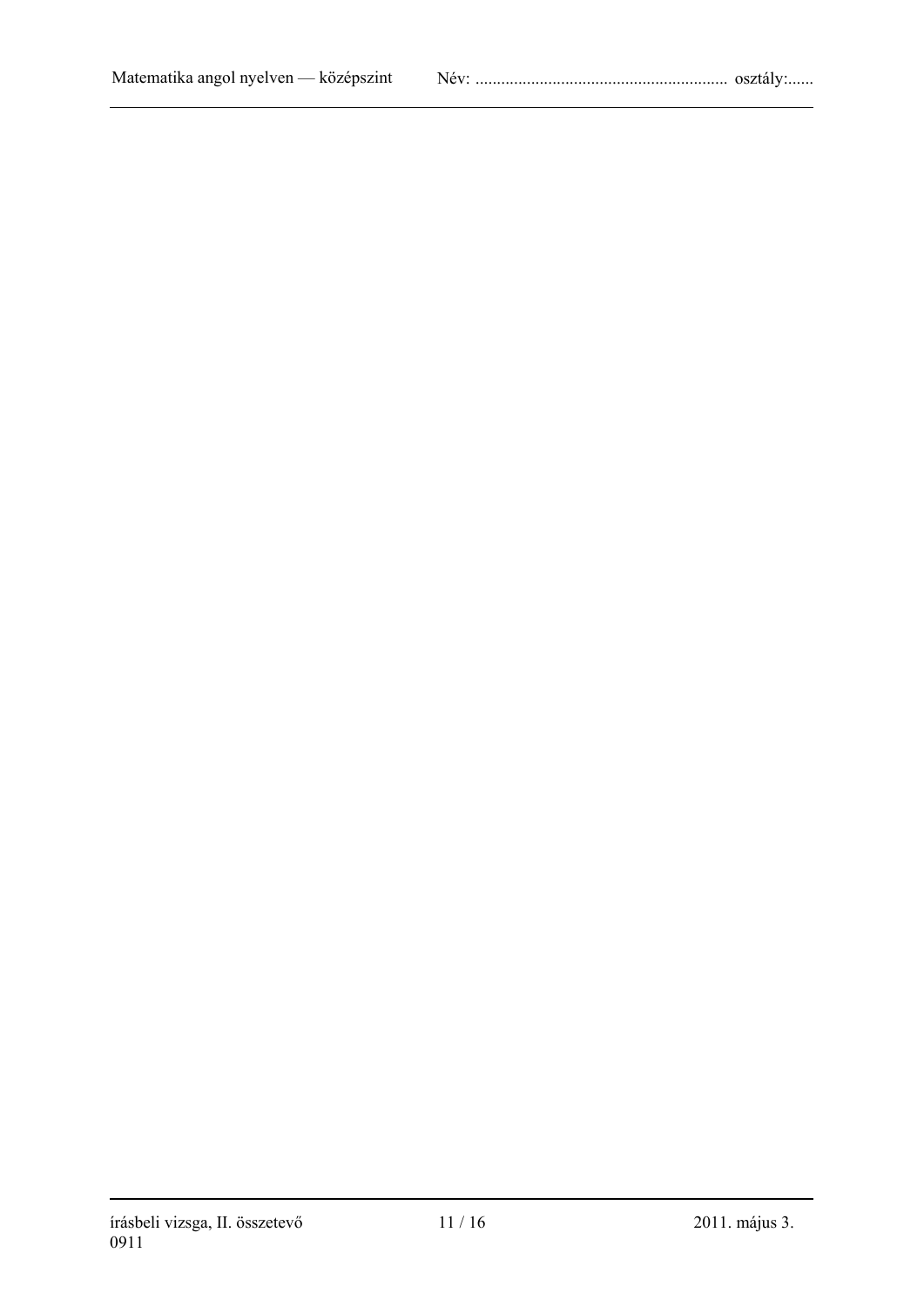|--|--|--|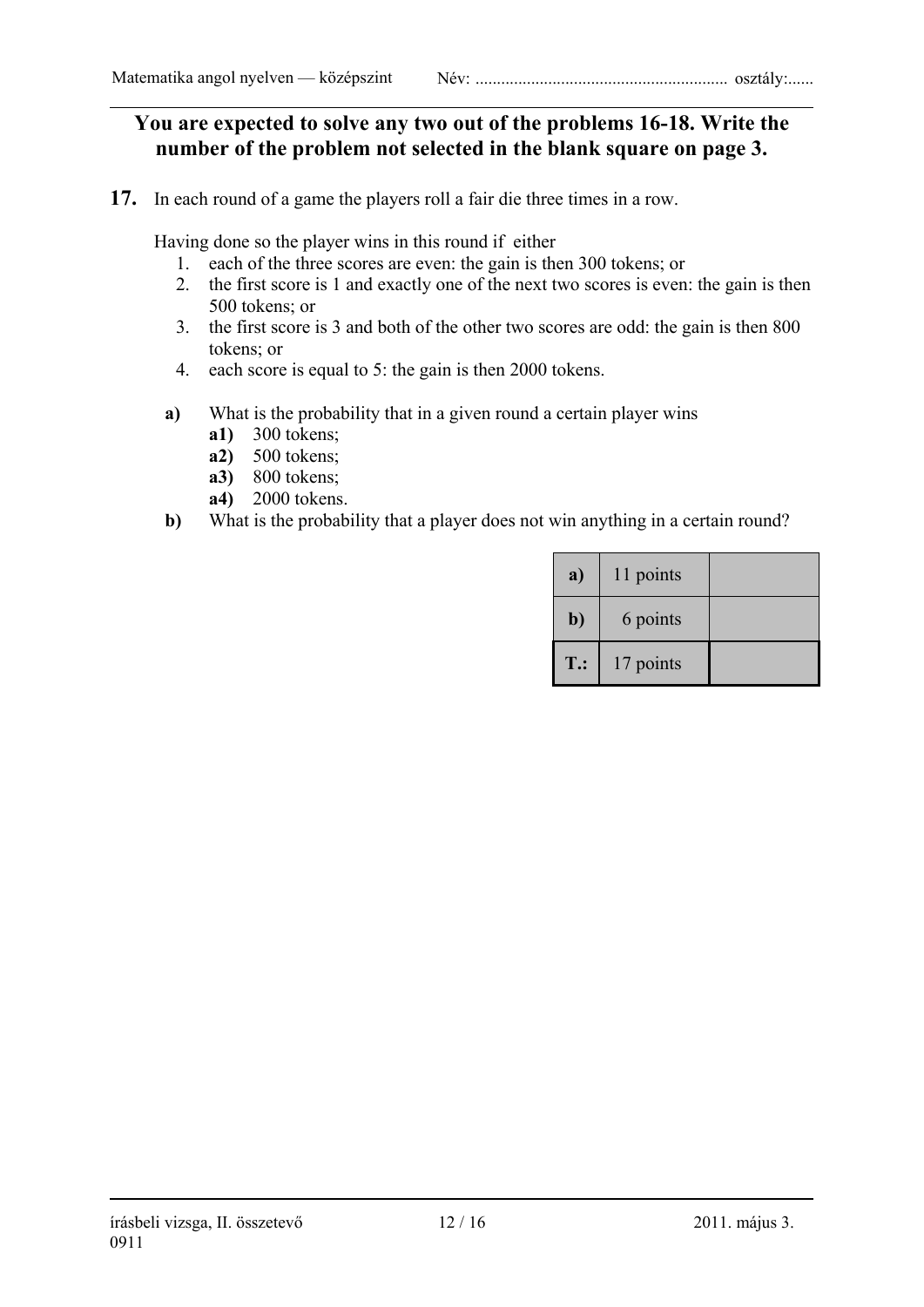#### **You are expected to solve any two out of the problems 16-18. Write the number of the problem not selected in the blank square on page 3.**

**17.** In each round of a game the players roll a fair die three times in a row.

Having done so the player wins in this round if either

- 1. each of the three scores are even: the gain is then 300 tokens; or
- 2. the first score is 1 and exactly one of the next two scores is even: the gain is then 500 tokens; or
- 3. the first score is 3 and both of the other two scores are odd: the gain is then 800 tokens; or
- 4. each score is equal to 5: the gain is then 2000 tokens.
- **a)** What is the probability that in a given round a certain player wins
	- **a1)** 300 tokens;
	- **a2)** 500 tokens;
	- **a3)** 800 tokens;
	- **a4)** 2000 tokens.
- **b**) What is the probability that a player does not win anything in a certain round?

| a)           | 11 points |  |
|--------------|-----------|--|
| $\mathbf{b}$ | 6 points  |  |
| $T$ .:       | 17 points |  |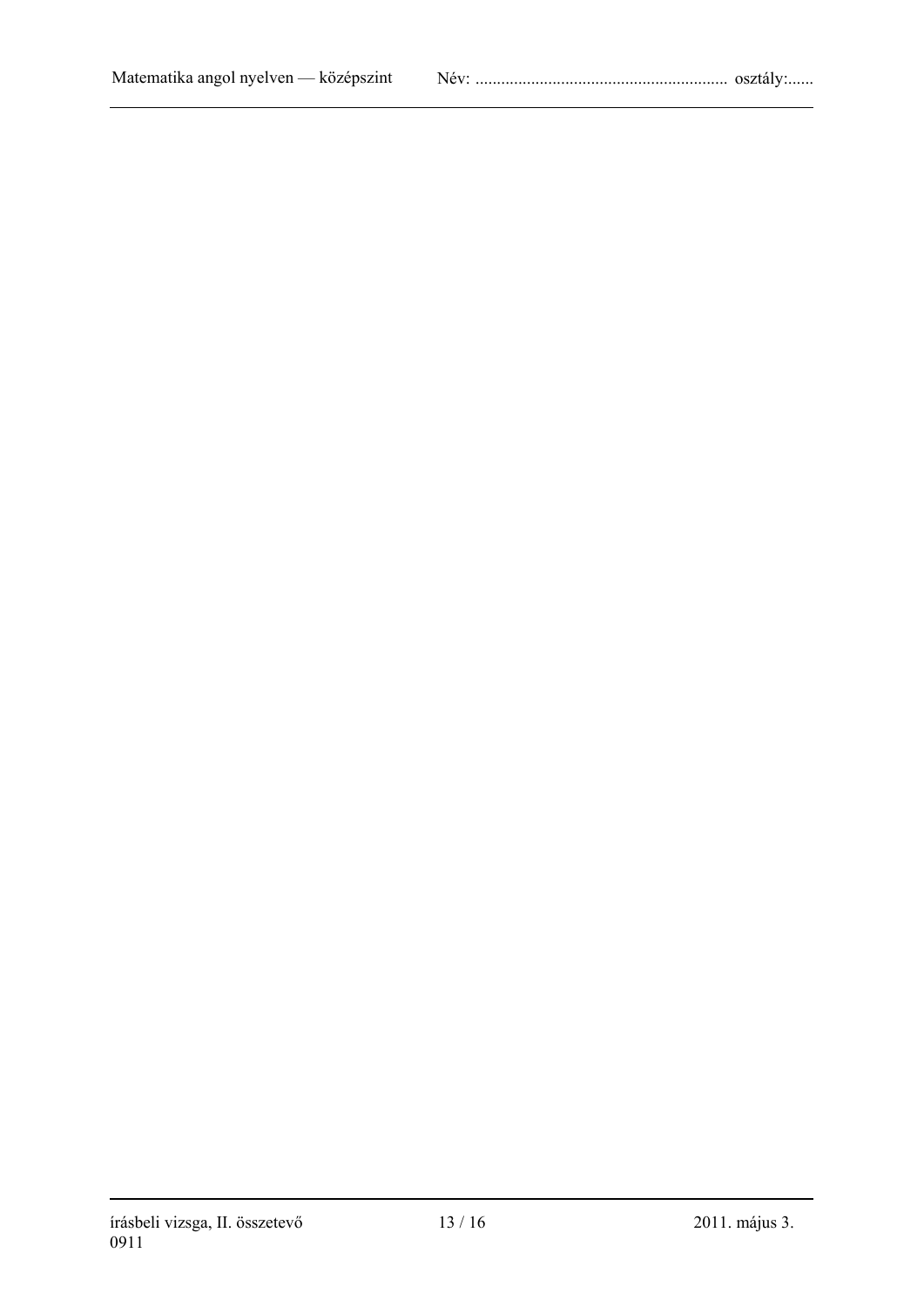|--|--|--|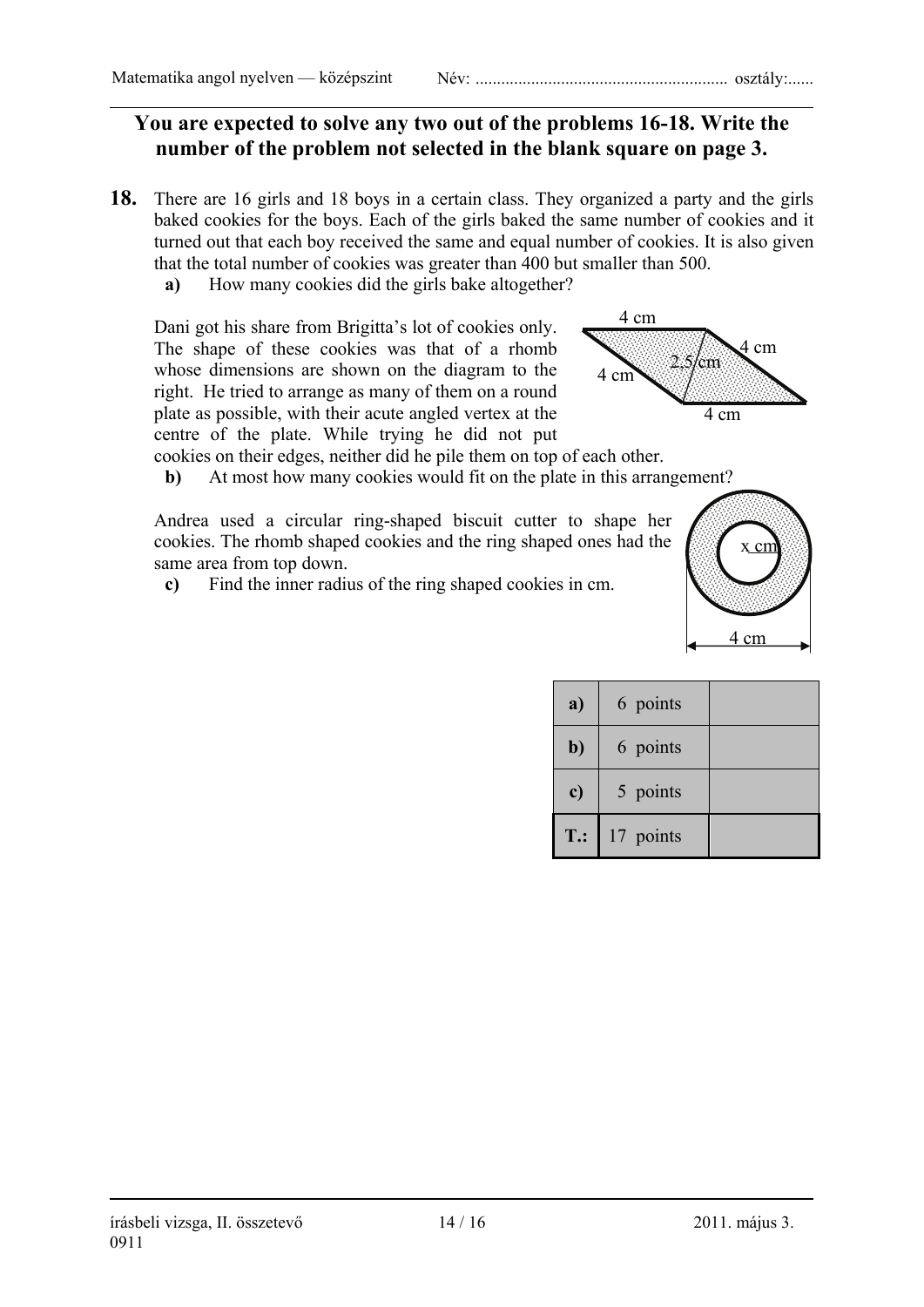#### **You are expected to solve any two out of the problems 16-18. Write the number of the problem not selected in the blank square on page 3.**

- **18.** There are 16 girls and 18 boys in a certain class. They organized a party and the girls baked cookies for the boys. Each of the girls baked the same number of cookies and it turned out that each boy received the same and equal number of cookies. It is also given that the total number of cookies was greater than 400 but smaller than 500.
	- **a)** How many cookies did the girls bake altogether?

Dani got his share from Brigitta's lot of cookies only. The shape of these cookies was that of a rhomb whose dimensions are shown on the diagram to the right. He tried to arrange as many of them on a round plate as possible, with their acute angled vertex at the centre of the plate. While trying he did not put



cookies on their edges, neither did he pile them on top of each other. **b**) At most how many cookies would fit on the plate in this arrangement?

Andrea used a circular ring-shaped biscuit cutter to shape her cookies. The rhomb shaped cookies and the ring shaped ones had the same area from top down.

**c)** Find the inner radius of the ring shaped cookies in cm.



| a)            | 6 points  |  |
|---------------|-----------|--|
| $\mathbf{b}$  | 6 points  |  |
| $\mathbf{c})$ | 5 points  |  |
| $T$ .:        | 17 points |  |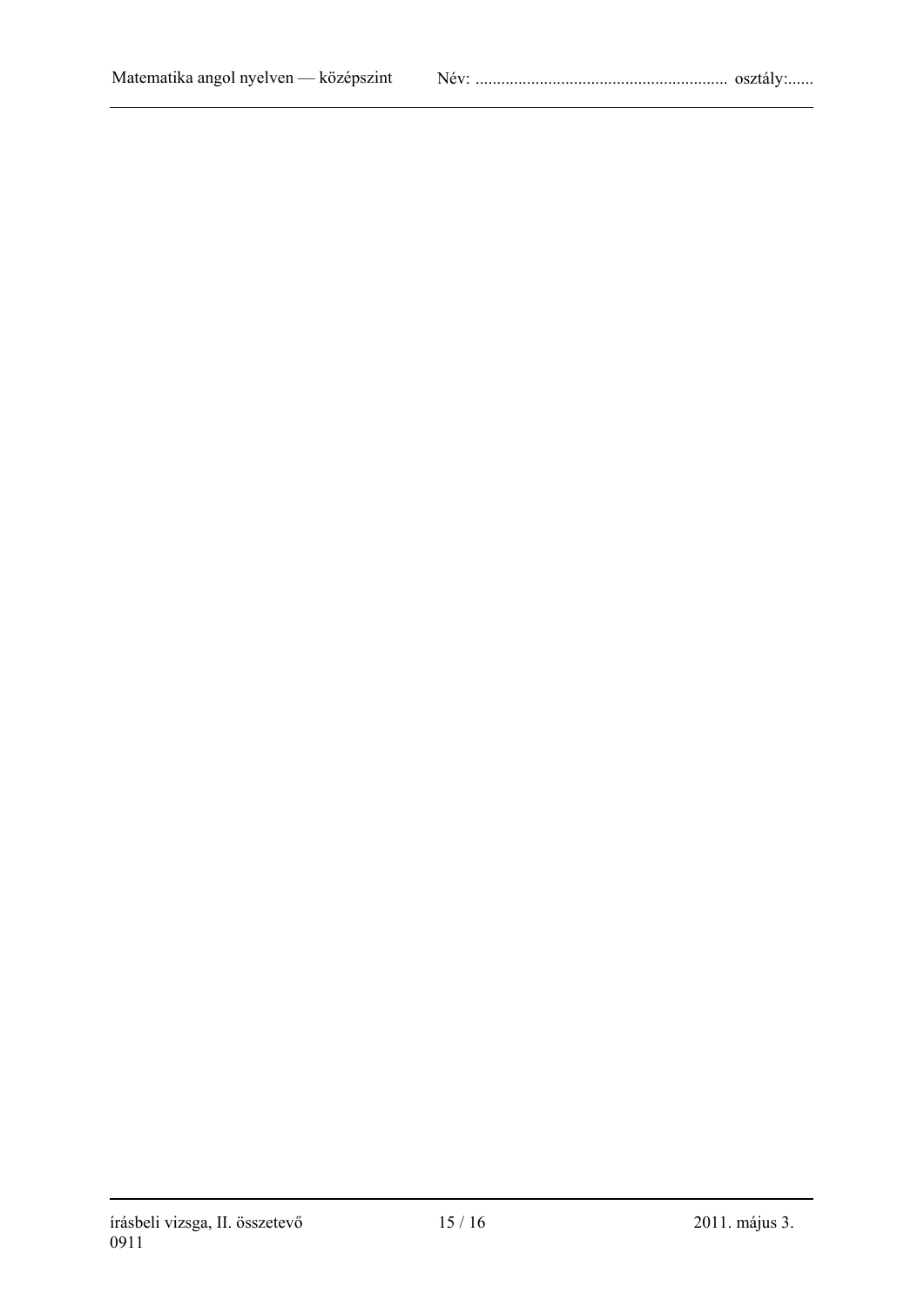|--|--|--|